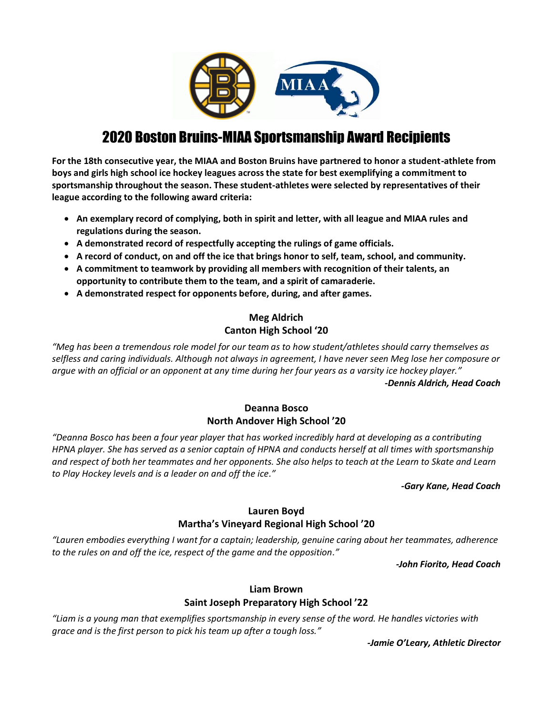

# 2020 Boston Bruins-MIAA Sportsmanship Award Recipients

**For the 18th consecutive year, the MIAA and Boston Bruins have partnered to honor a student-athlete from boys and girls high school ice hockey leagues across the state for best exemplifying a commitment to sportsmanship throughout the season. These student-athletes were selected by representatives of their league according to the following award criteria:** 

- **An exemplary record of complying, both in spirit and letter, with all league and MIAA rules and regulations during the season.**
- **A demonstrated record of respectfully accepting the rulings of game officials.**
- **A record of conduct, on and off the ice that brings honor to self, team, school, and community.**
- **A commitment to teamwork by providing all members with recognition of their talents, an opportunity to contribute them to the team, and a spirit of camaraderie.**
- **A demonstrated respect for opponents before, during, and after games.**

# **Meg Aldrich Canton High School '20**

*"Meg has been a tremendous role model for our team as to how student/athletes should carry themselves as selfless and caring individuals. Although not always in agreement, I have never seen Meg lose her composure or argue with an official or an opponent at any time during her four years as a varsity ice hockey player." -Dennis Aldrich, Head Coach*

### **Deanna Bosco North Andover High School '20**

*"Deanna Bosco has been a four year player that has worked incredibly hard at developing as a contributing HPNA player. She has served as a senior captain of HPNA and conducts herself at all times with sportsmanship and respect of both her teammates and her opponents. She also helps to teach at the Learn to Skate and Learn to Play Hockey levels and is a leader on and off the ice."*

#### *-Gary Kane, Head Coach*

# **Lauren Boyd**

### **Martha's Vineyard Regional High School '20**

*"Lauren embodies everything I want for a captain; leadership, genuine caring about her teammates, adherence to the rules on and off the ice, respect of the game and the opposition."*

*-John Fiorito, Head Coach*

# **Liam Brown**

# **Saint Joseph Preparatory High School '22**

*"Liam is a young man that exemplifies sportsmanship in every sense of the word. He handles victories with grace and is the first person to pick his team up after a tough loss."*

*-Jamie O'Leary, Athletic Director*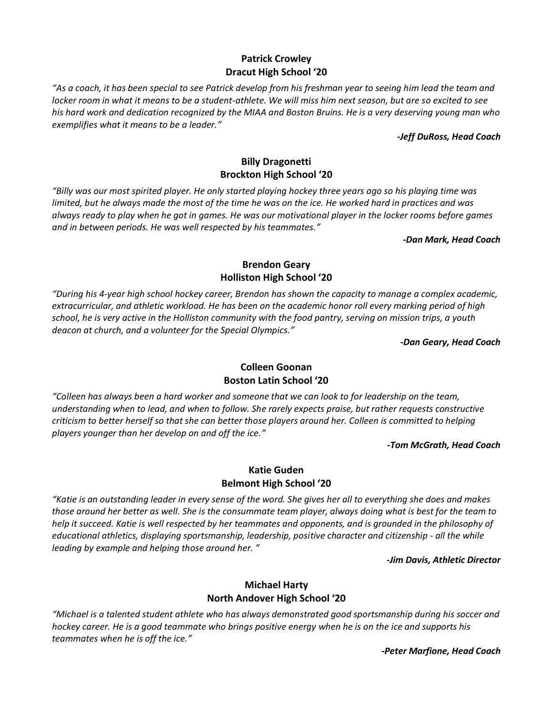# **Patrick Crowley Dracut High School '20**

*"As a coach, it has been special to see Patrick develop from his freshman year to seeing him lead the team and locker room in what it means to be a student-athlete. We will miss him next season, but are so excited to see his hard work and dedication recognized by the MIAA and Boston Bruins. He is a very deserving young man who exemplifies what it means to be a leader."*

#### *-Jeff DuRoss, Head Coach*

# **Billy Dragonetti Brockton High School '20**

*"Billy was our most spirited player. He only started playing hockey three years ago so his playing time was limited, but he always made the most of the time he was on the ice. He worked hard in practices and was always ready to play when he got in games. He was our motivational player in the locker rooms before games and in between periods. He was well respected by his teammates."*

#### *-Dan Mark, Head Coach*

### **Brendon Geary Holliston High School '20**

*"During his 4-year high school hockey career, Brendon has shown the capacity to manage a complex academic, extracurricular, and athletic workload. He has been on the academic honor roll every marking period of high school, he is very active in the Holliston community with the food pantry, serving on mission trips, a youth deacon at church, and a volunteer for the Special Olympics."*

*-Dan Geary, Head Coach*

# **Colleen Goonan Boston Latin School '20**

*"Colleen has always been a hard worker and someone that we can look to for leadership on the team, understanding when to lead, and when to follow. She rarely expects praise, but rather requests constructive criticism to better herself so that she can better those players around her. Colleen is committed to helping players younger than her develop on and off the ice."*

*-Tom McGrath, Head Coach*

### **Katie Guden Belmont High School '20**

*"Katie is an outstanding leader in every sense of the word. She gives her all to everything she does and makes those around her better as well. She is the consummate team player, always doing what is best for the team to help it succeed. Katie is well respected by her teammates and opponents, and is grounded in the philosophy of educational athletics, displaying sportsmanship, leadership, positive character and citizenship - all the while leading by example and helping those around her. "*

*-Jim Davis, Athletic Director*

# **Michael Harty North Andover High School '20**

*"Michael is a talented student athlete who has always demonstrated good sportsmanship during his soccer and hockey career. He is a good teammate who brings positive energy when he is on the ice and supports his teammates when he is off the ice."*

*-Peter Marfione, Head Coach*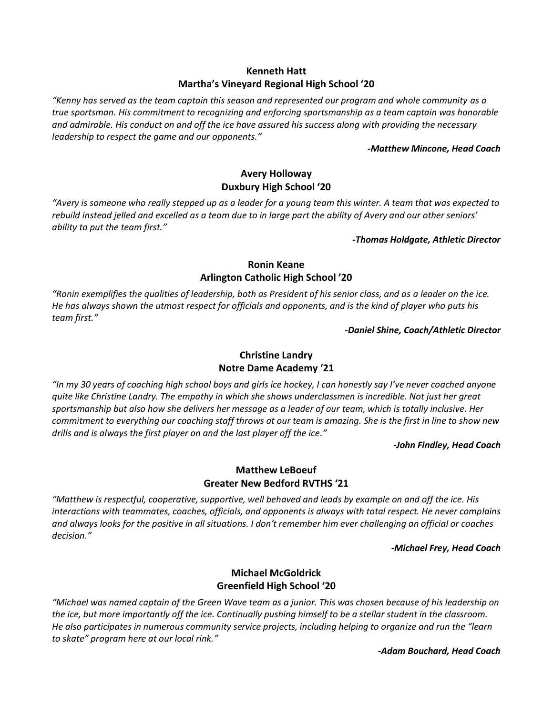### **Kenneth Hatt Martha's Vineyard Regional High School '20**

*"Kenny has served as the team captain this season and represented our program and whole community as a true sportsman. His commitment to recognizing and enforcing sportsmanship as a team captain was honorable and admirable. His conduct on and off the ice have assured his success along with providing the necessary leadership to respect the game and our opponents."*

#### *-Matthew Mincone, Head Coach*

### **Avery Holloway Duxbury High School '20**

*"Avery is someone who really stepped up as a leader for a young team this winter. A team that was expected to rebuild instead jelled and excelled as a team due to in large part the ability of Avery and our other seniors' ability to put the team first."*

*-Thomas Holdgate, Athletic Director*

### **Ronin Keane Arlington Catholic High School '20**

*"Ronin exemplifies the qualities of leadership, both as President of his senior class, and as a leader on the ice. He has always shown the utmost respect for officials and opponents, and is the kind of player who puts his team first."*

*-Daniel Shine, Coach/Athletic Director*

# **Christine Landry Notre Dame Academy '21**

*"In my 30 years of coaching high school boys and girls ice hockey, I can honestly say I've never coached anyone quite like Christine Landry. The empathy in which she shows underclassmen is incredible. Not just her great sportsmanship but also how she delivers her message as a leader of our team, which is totally inclusive. Her commitment to everything our coaching staff throws at our team is amazing. She is the first in line to show new drills and is always the first player on and the last player off the ice."*

#### *-John Findley, Head Coach*

### **Matthew LeBoeuf Greater New Bedford RVTHS '21**

*"Matthew is respectful, cooperative, supportive, well behaved and leads by example on and off the ice. His interactions with teammates, coaches, officials, and opponents is always with total respect. He never complains and always looks for the positive in all situations. I don't remember him ever challenging an official or coaches decision."*

*-Michael Frey, Head Coach*

# **Michael McGoldrick Greenfield High School '20**

*"Michael was named captain of the Green Wave team as a junior. This was chosen because of his leadership on the ice, but more importantly off the ice. Continually pushing himself to be a stellar student in the classroom. He also participates in numerous community service projects, including helping to organize and run the "learn to skate" program here at our local rink."*

*-Adam Bouchard, Head Coach*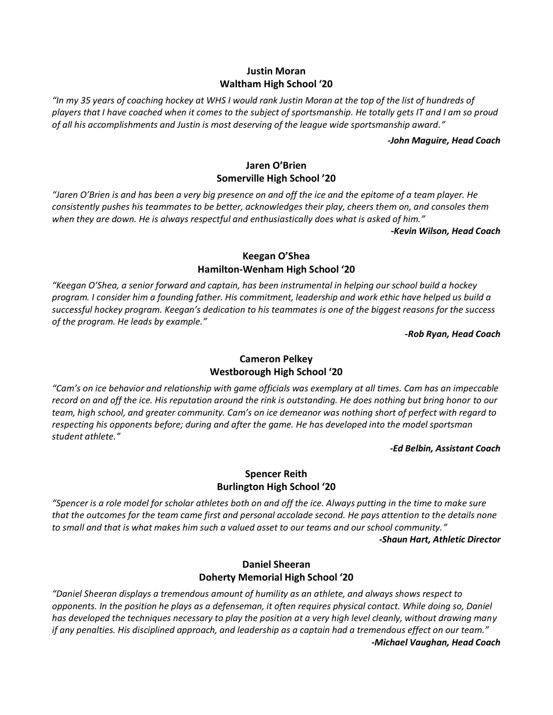### **Justin Moran Waltham High School '20**

*"In my 35 years of coaching hockey at WHS I would rank Justin Moran at the top of the list of hundreds of players that I have coached when it comes to the subject of sportsmanship. He totally gets IT and I am so proud of all his accomplishments and Justin is most deserving of the league wide sportsmanship award."*

#### *-John Maguire, Head Coach*

### **Jaren O'Brien Somerville High School '20**

*"Jaren O'Brien is and has been a very big presence on and off the ice and the epitome of a team player. He consistently pushes his teammates to be better, acknowledges their play, cheers them on, and consoles them when they are down. He is always respectful and enthusiastically does what is asked of him."*

*-Kevin Wilson, Head Coach*

### **Keegan O'Shea Hamilton-Wenham High School '20**

*"Keegan O'Shea, a senior forward and captain, has been instrumental in helping our school build a hockey program. I consider him a founding father. His commitment, leadership and work ethic have helped us build a successful hockey program. Keegan's dedication to his teammates is one of the biggest reasons for the success of the program. He leads by example."*

*-Rob Ryan, Head Coach*

# **Cameron Pelkey Westborough High School '20**

*"Cam's on ice behavior and relationship with game officials was exemplary at all times. Cam has an impeccable record on and off the ice. His reputation around the rink is outstanding. He does nothing but bring honor to our team, high school, and greater community. Cam's on ice demeanor was nothing short of perfect with regard to respecting his opponents before; during and after the game. He has developed into the model sportsman student athlete."*

#### *-Ed Belbin, Assistant Coach*

### **Spencer Reith Burlington High School '20**

*"Spencer is a role model for scholar athletes both on and off the ice. Always putting in the time to make sure that the outcomes for the team came first and personal accolade second. He pays attention to the details none to small and that is what makes him such a valued asset to our teams and our school community." -Shaun Hart, Athletic Director*

### **Daniel Sheeran Doherty Memorial High School '20**

*"Daniel Sheeran displays a tremendous amount of humility as an athlete, and always shows respect to opponents. In the position he plays as a defenseman, it often requires physical contact. While doing so, Daniel has developed the techniques necessary to play the position at a very high level cleanly, without drawing many if any penalties. His disciplined approach, and leadership as a captain had a tremendous effect on our team." -Michael Vaughan, Head Coach*